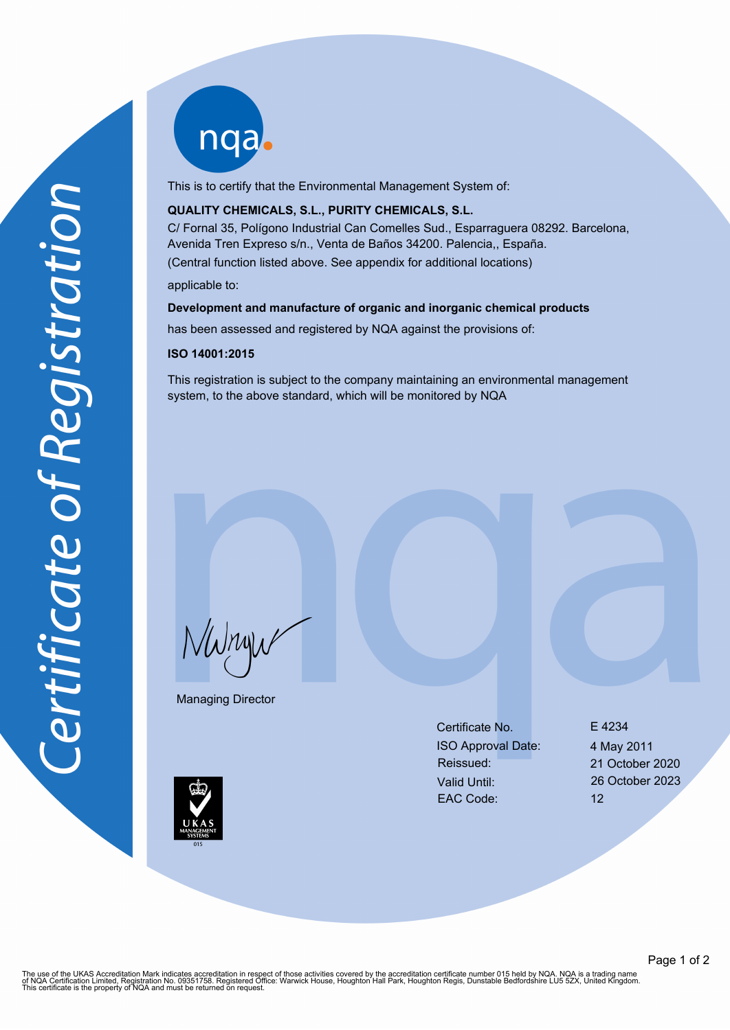nqab

This is to certify that the Environmental Management System of:

## **QUALITY CHEMICALS, S.L., PURITY CHEMICALS, S.L.**

C/ Fornal 35, Polígono Industrial Can Comelles Sud., Esparraguera 08292. Barcelona, Avenida Tren Expreso s/n., Venta de Baños 34200. Palencia,, España. (Central function listed above. See appendix for additional locations)

applicable to:

### **Development and manufacture of organic and inorganic chemical products**

has been assessed and registered by NQA against the provisions of:

#### **ISO 14001:2015**

This registration is subject to the company maintaining an environmental management system, to the above standard, which will be monitored by NQA

NWnyw

Managing Director

Certificate No. 6 E 4234 ISO Approval Date: 4 May 2011 Reissued: 21 October 2020 Valid Until: 26 October 2023 EAC Code: 12